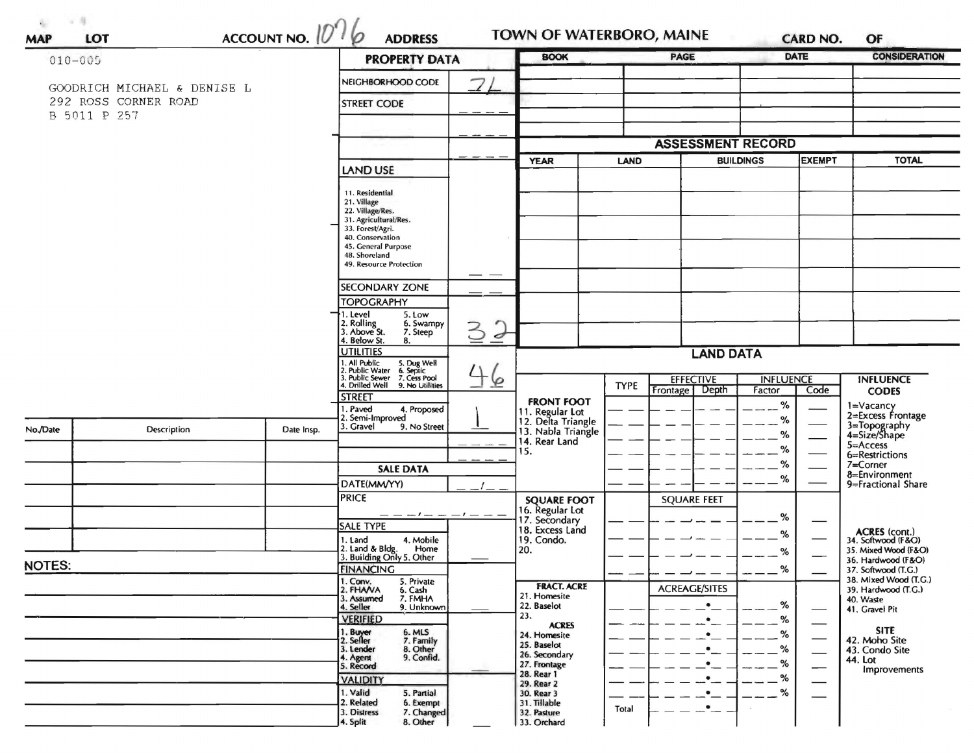| $\frac{\text{ACCUNIT NO.}}{\text{O}}$<br>$010 - 005$ |                                                     |                    | <b>PROPERTY DATA</b>                                                                   |                                          | <b>BOOK</b>                             |             | PAGE                                  |                            | DATE | <b>CONSIDERATION</b>                         |
|------------------------------------------------------|-----------------------------------------------------|--------------------|----------------------------------------------------------------------------------------|------------------------------------------|-----------------------------------------|-------------|---------------------------------------|----------------------------|------|----------------------------------------------|
|                                                      |                                                     |                    | $\overline{Z}$<br>NEIGHBORHOOD CODE                                                    |                                          |                                         |             |                                       |                            |      |                                              |
|                                                      | GOODRICH MICHAEL & DENISE L<br>292 ROSS CORNER ROAD | <b>STREET CODE</b> |                                                                                        |                                          |                                         |             |                                       |                            |      |                                              |
| B 5011 P 257                                         |                                                     |                    |                                                                                        |                                          |                                         |             |                                       |                            |      |                                              |
|                                                      |                                                     |                    |                                                                                        |                                          |                                         |             | <b>ASSESSMENT RECORD</b>              |                            |      |                                              |
|                                                      |                                                     |                    |                                                                                        |                                          | <b>BUILDINGS</b><br><b>YEAR</b><br>LAND |             |                                       | <b>EXEMPT</b>              |      | <b>TOTAL</b>                                 |
|                                                      |                                                     |                    | <b>LAND USE</b>                                                                        |                                          |                                         |             |                                       |                            |      |                                              |
|                                                      |                                                     |                    | 11. Residential                                                                        |                                          |                                         |             |                                       |                            |      |                                              |
|                                                      |                                                     |                    | 21. Village<br>22. Village/Res.                                                        |                                          |                                         |             |                                       |                            |      |                                              |
|                                                      |                                                     |                    | 31. Agricultural/Res.<br>33. Forest/Agri.                                              |                                          |                                         |             |                                       |                            |      |                                              |
|                                                      |                                                     |                    | 40. Conservation<br>45. General Purpose                                                |                                          |                                         |             |                                       |                            |      |                                              |
|                                                      |                                                     |                    | 48. Shoreland<br>49. Resource Protection                                               |                                          |                                         |             |                                       |                            |      |                                              |
|                                                      |                                                     |                    | SECONDARY ZONE                                                                         |                                          |                                         |             |                                       |                            |      |                                              |
|                                                      |                                                     |                    | <b>TOPOGRAPHY</b>                                                                      |                                          |                                         |             |                                       |                            |      |                                              |
|                                                      |                                                     |                    | 1. Level<br>5. Low                                                                     |                                          |                                         |             |                                       |                            |      |                                              |
|                                                      |                                                     |                    | 2. Rolling<br>3. Above St.<br>6. Swampy<br>3<br>7. Steep<br>4. Below St.               | $\overline{d}$                           |                                         |             |                                       |                            |      |                                              |
|                                                      |                                                     |                    | 8.<br><b>UTILITIES</b>                                                                 |                                          |                                         |             | <b>LAND DATA</b>                      |                            |      |                                              |
|                                                      |                                                     |                    | 1. All Public 5. Dug Well<br>2. Public Water 6. Septic<br>3. Public Sewer 7. Cess Pool |                                          |                                         |             |                                       |                            |      |                                              |
|                                                      |                                                     |                    | 4. Drilled Well 9. No Utilities                                                        | $\overline{\mathcal{P}}$                 |                                         | <b>TYPE</b> | <b>EFFECTIVE</b><br>Depth<br>Frontage | <b>INFLUENCE</b><br>Factor | Code | <b>INFLUENCE</b><br><b>CODES</b>             |
|                                                      |                                                     |                    | <b>STREET</b><br>1. Paved<br>4. Proposed                                               | <b>FRONT FOOT</b><br>11. Regular Lot     |                                         |             |                                       | %                          |      | 1=Vacancy<br>2=Excess Frontage               |
| No./Date                                             | Description                                         | Date Insp.         | 2. Semi-Improved<br>3. Gravel<br>9. No Street                                          | 12. Delta Triangle<br>13. Nabla Triangle |                                         |             |                                       | %                          |      | 3=Topography<br>4=Size/Shape                 |
|                                                      |                                                     |                    |                                                                                        | 14. Rear Land                            |                                         |             |                                       | %                          |      | $5 =$ Access                                 |
|                                                      |                                                     |                    |                                                                                        | 15.                                      |                                         |             |                                       | %<br>%                     |      | 6=Restrictions<br>7=Corner                   |
|                                                      |                                                     |                    | <b>SALE DATA</b>                                                                       |                                          |                                         |             |                                       | %                          |      | 8=Environment<br>9=Fractional Share          |
|                                                      |                                                     |                    | DATE(MM/YY)<br><b>PRICE</b>                                                            | <b>SQUARE FOOT</b>                       |                                         |             | <b>SQUARE FEET</b>                    |                            |      |                                              |
|                                                      |                                                     |                    | — — — ! — <i>— —</i> ! — <i>—</i> —                                                    | 16. Regular Lot<br>17. Secondary         |                                         |             |                                       | %                          |      |                                              |
|                                                      |                                                     |                    | <b>SALE TYPE</b>                                                                       | 18. Excess Land                          |                                         |             |                                       | %                          |      | ACRES (cont.)<br>34. Softwood (F&O)          |
|                                                      |                                                     |                    | 1. Land<br>4. Mobile<br>2. Land & Bldg.<br>Home                                        | 19. Condo.<br>20.                        |                                         |             |                                       | %                          |      | 35. Mixed Wood (F&O)                         |
| <b>NOTES:</b>                                        |                                                     |                    | 3. Building Only 5. Other<br><b>FINANCING</b>                                          |                                          |                                         |             |                                       | $\%$                       |      | 36. Hardwood (F&O)<br>37. Softwood (T.G.)    |
|                                                      |                                                     |                    | 1. Conv.<br>5. Private<br>2. FHANA<br>6. Cash                                          | <b>FRACT. ACRE</b>                       |                                         |             | <b>ACREAGE/SITES</b>                  |                            |      | 38. Mixed Wood (T.G.)<br>39. Hardwood (T.G.) |
|                                                      |                                                     |                    | 3. Assumed<br>7. FMHA<br>9. Unknown<br>4. Seller                                       | 21. Homesite<br>22. Baselot              |                                         |             | $\bullet$                             | %                          |      | 40. Waste                                    |
|                                                      |                                                     |                    | <b>VERIFIED</b>                                                                        | 23.<br><b>ACRES</b>                      |                                         |             | $\bullet$                             | %                          |      | 41. Gravel Pit                               |
|                                                      |                                                     |                    | 1. Buyer<br>2. Seller<br>6. MLS<br>7. Family                                           | 24. Homesite                             |                                         |             | $\bullet$                             | %                          |      | <b>SITE</b><br>42. Moho Site                 |
|                                                      |                                                     |                    | 3. Lender<br>8. Other<br>4. Agent<br>9. Confid.                                        | 25. Baselot<br>26. Secondary             |                                         |             |                                       | %                          |      | 43. Condo Site<br>44. Lot                    |
|                                                      |                                                     |                    | 5. Record                                                                              | 27. Frontage<br>28. Rear 1               |                                         |             |                                       | %<br>%                     |      | Improvements                                 |
|                                                      |                                                     |                    | <b>VALIDITY</b><br>1. Valid<br>5. Partial                                              | 29. Rear 2<br>30. Rear 3                 |                                         |             | $\bullet$                             | $\frac{9}{6}$              | —    |                                              |
|                                                      |                                                     |                    | 2. Related<br>6. Exempt<br>3. Distress<br>7. Changed                                   | 31. Tillable<br>32. Pasture              |                                         | Total       | $\cdot$ $-$                           |                            |      |                                              |
|                                                      |                                                     |                    | 8. Other<br>4. Split                                                                   | 33. Orchard                              |                                         |             |                                       |                            |      |                                              |